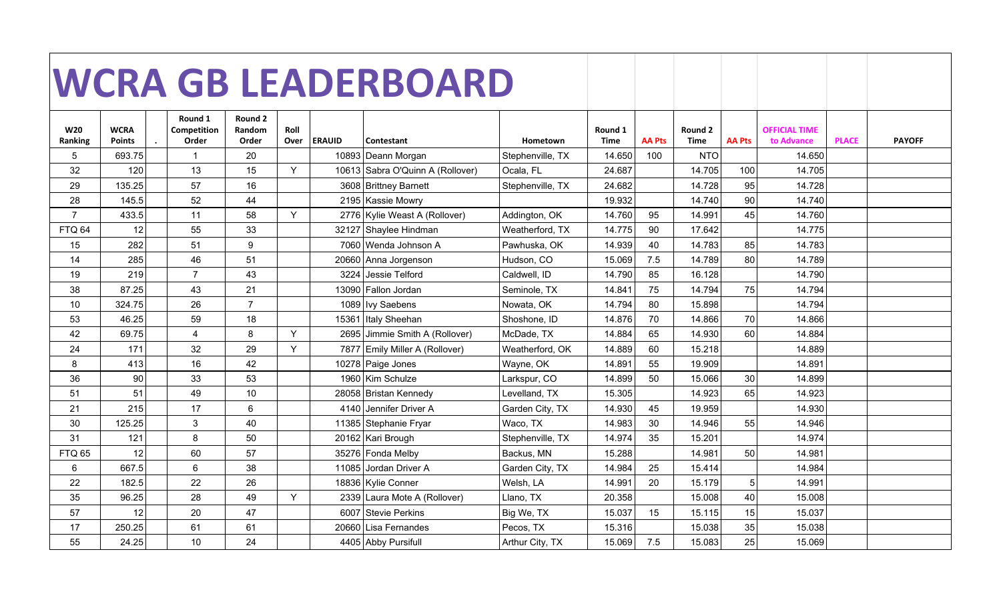|                |               |                        |                   |      |               | <b>WCRA GB LEADERBOARD</b>       |                  |                 |               |                 |               |                                    |              |               |
|----------------|---------------|------------------------|-------------------|------|---------------|----------------------------------|------------------|-----------------|---------------|-----------------|---------------|------------------------------------|--------------|---------------|
|                |               |                        |                   |      |               |                                  |                  |                 |               |                 |               |                                    |              |               |
|                |               |                        |                   |      |               |                                  |                  |                 |               |                 |               |                                    |              |               |
| <b>W20</b>     | <b>WCRA</b>   | Round 1<br>Competition | Round 2<br>Random | Roll |               |                                  |                  |                 |               |                 |               |                                    |              |               |
| Ranking        | <b>Points</b> | Order                  | Order             | Over | <b>ERAUID</b> | Contestant                       | Hometown         | Round 1<br>Time | <b>AA Pts</b> | Round 2<br>Time | <b>AA Pts</b> | <b>OFFICIAL TIME</b><br>to Advance | <b>PLACE</b> | <b>PAYOFF</b> |
| 5              | 693.75        | $\overline{1}$         | 20                |      |               | 10893 Deann Morgan               | Stephenville, TX | 14.650          | 100           | <b>NTO</b>      |               | 14.650                             |              |               |
| 32             | 120           | 13                     | 15                | Y    |               | 10613 Sabra O'Quinn A (Rollover) | Ocala, FL        | 24.687          |               | 14.705          | 100           | 14.705                             |              |               |
| 29             | 135.25        | 57                     | 16                |      |               | 3608 Brittney Barnett            | Stephenville, TX | 24.682          |               | 14.728          | 95            | 14.728                             |              |               |
| 28             | 145.5         | 52                     | 44                |      |               | 2195 Kassie Mowry                |                  | 19.932          |               | 14.740          | 90            | 14.740                             |              |               |
| $\overline{7}$ | 433.5         | 11                     | 58                | Y    |               | 2776 Kylie Weast A (Rollover)    | Addington, OK    | 14.760          | 95            | 14.991          | 45            | 14.760                             |              |               |
| FTQ 64         | 12            | 55                     | 33                |      |               | 32127 Shaylee Hindman            | Weatherford, TX  | 14.775          | 90            | 17.642          |               | 14.775                             |              |               |
| 15             | 282           | 51                     | 9                 |      |               | 7060 Wenda Johnson A             | Pawhuska, OK     | 14.939          | 40            | 14.783          | 85            | 14.783                             |              |               |
| 14             | 285           | 46                     | 51                |      |               | 20660 Anna Jorgenson             | Hudson, CO       | 15.069          | 7.5           | 14.789          | 80            | 14.789                             |              |               |
| 19             | 219           | $\overline{7}$         | 43                |      |               | 3224 Jessie Telford              | Caldwell, ID     | 14.790          | 85            | 16.128          |               | 14.790                             |              |               |
| 38             | 87.25         | 43                     | 21                |      |               | 13090 Fallon Jordan              | Seminole, TX     | 14.841          | 75            | 14.794          | 75            | 14.794                             |              |               |
| 10             | 324.75        | 26                     | $\overline{7}$    |      |               | 1089   Ivy Saebens               | Nowata, OK       | 14.794          | 80            | 15.898          |               | 14.794                             |              |               |
| 53             | 46.25         | 59                     | 18                |      |               | 15361 Italy Sheehan              | Shoshone, ID     | 14.876          | 70            | 14.866          | 70            | 14.866                             |              |               |
| 42             | 69.75         | 4                      | 8                 | Y    |               | 2695 Jimmie Smith A (Rollover)   | McDade, TX       | 14.884          | 65            | 14.930          | 60            | 14.884                             |              |               |
| 24             | 171           | 32                     | 29                | Y    |               | 7877 Emily Miller A (Rollover)   | Weatherford, OK  | 14.889          | 60            | 15.218          |               | 14.889                             |              |               |
| 8              | 413           | 16                     | 42                |      |               | 10278 Paige Jones                | Wayne, OK        | 14.891          | 55            | 19.909          |               | 14.891                             |              |               |
| 36             | 90            | 33                     | 53                |      |               | 1960 Kim Schulze                 | Larkspur, CO     | 14.899          | 50            | 15.066          | 30            | 14.899                             |              |               |
| 51             | 51            | 49                     | 10                |      |               | 28058 Bristan Kennedy            | Levelland, TX    | 15.305          |               | 14.923          | 65            | 14.923                             |              |               |
| 21             | 215           | 17                     | 6                 |      |               | 4140 Jennifer Driver A           | Garden City, TX  | 14.930          | 45            | 19.959          |               | 14.930                             |              |               |
| 30             | 125.25        | $\mathbf{3}$           | 40                |      |               | 11385 Stephanie Fryar            | Waco, TX         | 14.983          | 30            | 14.946          | 55            | 14.946                             |              |               |
| 31             | 121           | 8                      | 50                |      |               | 20162 Kari Brough                | Stephenville, TX | 14.974          | 35            | 15.201          |               | 14.974                             |              |               |
| <b>FTQ 65</b>  | 12            | 60                     | 57                |      |               | 35276 Fonda Melby                | Backus, MN       | 15.288          |               | 14.981          | 50            | 14.981                             |              |               |
| 6              | 667.5         | $6\phantom{1}$         | 38                |      |               | 11085 Jordan Driver A            | Garden City, TX  | 14.984          | 25            | 15.414          |               | 14.984                             |              |               |
| 22             | 182.5         | 22                     | 26                |      |               | 18836 Kylie Conner               | Welsh, LA        | 14.991          | 20            | 15.179          | 5             | 14.991                             |              |               |
| 35             | 96.25         | 28                     | 49                | Y    |               | 2339 Laura Mote A (Rollover)     | Llano, TX        | 20.358          |               | 15.008          | 40            | 15.008                             |              |               |
| 57             | 12            | 20                     | 47                |      |               | 6007 Stevie Perkins              | Big We, TX       | 15.037          | 15            | 15.115          | 15            | 15.037                             |              |               |
| 17             | 250.25        | 61                     | 61                |      |               | 20660 Lisa Fernandes             | Pecos, TX        | 15.316          |               | 15.038          | 35            | 15.038                             |              |               |
| 55             | 24.25         | 10                     | 24                |      |               | 4405 Abby Pursifull              | Arthur City, TX  | 15.069          | 7.5           | 15.083          | 25            | 15.069                             |              |               |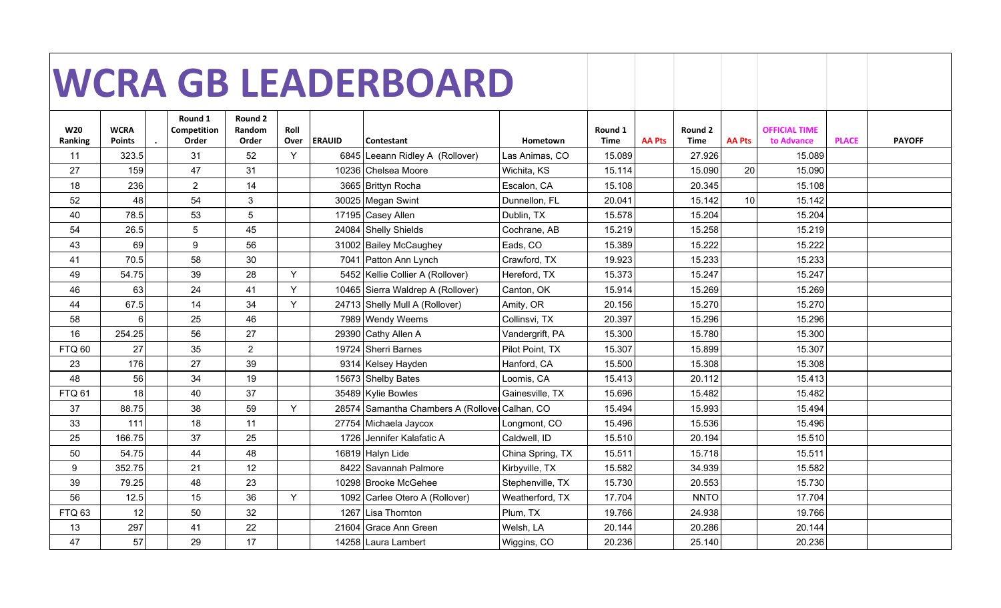|                   |                |                        |                   |      |               | <b>WCRA GB LEADERBOARD</b>                     |                  |                 |               |             |               |                      |              |               |
|-------------------|----------------|------------------------|-------------------|------|---------------|------------------------------------------------|------------------|-----------------|---------------|-------------|---------------|----------------------|--------------|---------------|
|                   |                |                        |                   |      |               |                                                |                  |                 |               |             |               |                      |              |               |
|                   |                |                        |                   |      |               |                                                |                  |                 |               |             |               |                      |              |               |
| <b>W20</b>        | <b>WCRA</b>    | Round 1<br>Competition | Round 2<br>Random | Roll |               |                                                |                  |                 |               | Round 2     |               | <b>OFFICIAL TIME</b> |              |               |
| Ranking           | <b>Points</b>  | Order                  | Order             | Over | <b>ERAUID</b> | Contestant                                     | Hometown         | Round 1<br>Time | <b>AA Pts</b> | Time        | <b>AA Pts</b> | to Advance           | <b>PLACE</b> | <b>PAYOFF</b> |
| 11                | 323.5          | 31                     | 52                | Y    |               | 6845 Leeann Ridley A (Rollover)                | Las Animas, CO   | 15.089          |               | 27.926      |               | 15.089               |              |               |
| 27                | 159            | 47                     | 31                |      |               | 10236 Chelsea Moore                            | Wichita, KS      | 15.114          |               | 15.090      | 20            | 15.090               |              |               |
| 18                | 236            | $\overline{2}$         | 14                |      |               | 3665 Brittyn Rocha                             | Escalon, CA      | 15.108          |               | 20.345      |               | 15.108               |              |               |
| 52                | 48             | 54                     | 3                 |      |               | 30025 Megan Swint                              | Dunnellon, FL    | 20.041          |               | 15.142      | 10            | 15.142               |              |               |
| 40                | 78.5           | 53                     | 5                 |      |               | 17195 Casey Allen                              | Dublin, TX       | 15.578          |               | 15.204      |               | 15.204               |              |               |
| 54                | 26.5           | $5\phantom{.0}$        | 45                |      |               | 24084 Shelly Shields                           | Cochrane, AB     | 15.219          |               | 15.258      |               | 15.219               |              |               |
| 43                | 69             | $9\,$                  | 56                |      |               | 31002 Bailey McCaughey                         | Eads, CO         | 15.389          |               | 15.222      |               | 15.222               |              |               |
| 41                | 70.5           | 58                     | 30                |      |               | 7041 Patton Ann Lynch                          | Crawford, TX     | 19.923          |               | 15.233      |               | 15.233               |              |               |
| 49                | 54.75          | 39                     | 28                | Y    |               | 5452 Kellie Collier A (Rollover)               | Hereford, TX     | 15.373          |               | 15.247      |               | 15.247               |              |               |
| 46                | 63             | 24                     | 41                | Y    |               | 10465 Sierra Waldrep A (Rollover)              | Canton, OK       | 15.914          |               | 15.269      |               | 15.269               |              |               |
| 44                | 67.5           | 14                     | 34                | Y    |               | 24713 Shelly Mull A (Rollover)                 | Amity, OR        | 20.156          |               | 15.270      |               | 15.270               |              |               |
| 58                | $6\phantom{1}$ | 25                     | 46                |      |               | 7989 Wendy Weems                               | Collinsvi, TX    | 20.397          |               | 15.296      |               | 15.296               |              |               |
| 16                | 254.25         | 56                     | 27                |      |               | 29390 Cathy Allen A                            | Vandergrift, PA  | 15.300          |               | 15.780      |               | 15.300               |              |               |
| <b>FTQ 60</b>     | 27             | 35                     | $\overline{2}$    |      |               | 19724 Sherri Barnes                            | Pilot Point, TX  | 15.307          |               | 15.899      |               | 15.307               |              |               |
| 23                | 176            | 27                     | 39                |      |               | 9314 Kelsey Hayden                             | Hanford, CA      | 15.500          |               | 15.308      |               | 15.308               |              |               |
| 48                | 56             | 34                     | 19                |      |               | 15673 Shelby Bates                             | Loomis, CA       | 15.413          |               | 20.112      |               | 15.413               |              |               |
| <b>FTQ 61</b>     | 18             | 40                     | 37                |      |               | 35489 Kylie Bowles                             | Gainesville, TX  | 15.696          |               | 15.482      |               | 15.482               |              |               |
| 37                | 88.75          | 38                     | 59                | Y    |               | 28574 Samantha Chambers A (Rollover Calhan, CO |                  | 15.494          |               | 15.993      |               | 15.494               |              |               |
| 33                | 111            | 18                     | 11                |      |               | 27754 Michaela Jaycox                          | Longmont, CO     | 15.496          |               | 15.536      |               | 15.496               |              |               |
| 25                | 166.75         | 37                     | 25                |      |               | 1726 Jennifer Kalafatic A                      | Caldwell, ID     | 15.510          |               | 20.194      |               | 15.510               |              |               |
| 50                | 54.75          | 44                     | 48                |      |               | 16819 Halyn Lide                               | China Spring, TX | 15.511          |               | 15.718      |               | 15.511               |              |               |
| 9                 | 352.75         | 21                     | 12                |      |               | 8422 Savannah Palmore                          | Kirbyville, TX   | 15.582          |               | 34.939      |               | 15.582               |              |               |
| 39                | 79.25          | 48                     | 23                |      |               | 10298 Brooke McGehee                           | Stephenville, TX | 15.730          |               | 20.553      |               | 15.730               |              |               |
| 56                | 12.5           | 15                     | 36                | Y    |               | 1092 Carlee Otero A (Rollover)                 | Weatherford, TX  | 17.704          |               | <b>NNTO</b> |               | 17.704               |              |               |
| FTQ <sub>63</sub> | 12             | 50                     | 32                |      |               | 1267 Lisa Thornton                             | Plum, TX         | 19.766          |               | 24.938      |               | 19.766               |              |               |
| 13                | 297            | 41                     | 22                |      |               | 21604 Grace Ann Green                          | Welsh, LA        | 20.144          |               | 20.286      |               | 20.144               |              |               |
| 47                | 57             | 29                     | 17                |      |               | 14258 Laura Lambert                            | Wiggins, CO      | 20.236          |               | 25.140      |               | 20.236               |              |               |